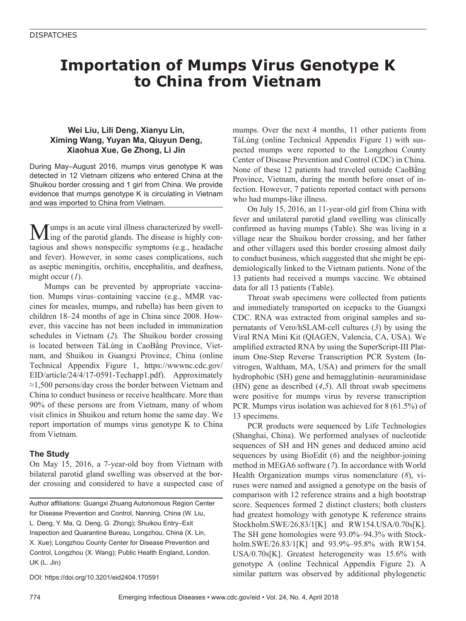# **Importation of Mumps Virus Genotype K to China from Vietnam**

# **Wei Liu, Lili Deng, Xianyu Lin, Ximing Wang, Yuyan Ma, Qiuyun Deng, Xiaohua Xue, Ge Zhong, Li Jin**

During May–August 2016, mumps virus genotype K was detected in 12 Vietnam citizens who entered China at the Shuikou border crossing and 1 girl from China. We provide evidence that mumps genotype K is circulating in Vietnam and was imported to China from Vietnam.

Mumps is an acute viral illness characterized by swell-ing of the parotid glands. The disease is highly contagious and shows nonspecific symptoms (e.g., headache and fever). However, in some cases complications, such as aseptic meningitis, orchitis, encephalitis, and deafness, might occur (*1*).

Mumps can be prevented by appropriate vaccination. Mumps virus–containing vaccine (e.g., MMR vaccines for measles, mumps, and rubella) has been given to children 18–24 months of age in China since 2008. However, this vaccine has not been included in immunization schedules in Vietnam (*2*). The Shuikou border crossing is located between TàLùng in CaoBằng Province, Vietnam, and Shuikou in Guangxi Province, China (online Technical Appendix Figure 1, https://wwwnc.cdc.gov/ EID/article/24/4/17-0591-Techapp1.pdf). Approximately ≈1,500 persons/day cross the border between Vietnam and China to conduct business or receive healthcare. More than 90% of these persons are from Vietnam, many of whom visit clinics in Shuikou and return home the same day. We report importation of mumps virus genotype K to China from Vietnam.

# **The Study**

On May 15, 2016, a 7-year-old boy from Vietnam with bilateral parotid gland swelling was observed at the border crossing and considered to have a suspected case of

Author affiliations: Guangxi Zhuang Autonomous Region Center for Disease Prevention and Control, Nanning, China (W. Liu, L. Deng, Y. Ma, Q. Deng, G. Zhong); Shuikou Entry–Exit Inspection and Quarantine Bureau, Longzhou, China (X. Lin, X. Xue); Longzhou County Center for Disease Prevention and Control, Longzhou (X. Wang); Public Health England, London, UK (L. Jin)

DOI: https://doi.org/10.3201/eid2404.170591

mumps. Over the next 4 months, 11 other patients from TàLùng (online Technical Appendix Figure 1) with suspected mumps were reported to the Longzhou County Center of Disease Prevention and Control (CDC) in China. None of these 12 patients had traveled outside CaoBằng Province, Vietnam, during the month before onset of infection. However, 7 patients reported contact with persons who had mumps-like illness.

On July 15, 2016, an 11-year-old girl from China with fever and unilateral parotid gland swelling was clinically confirmed as having mumps (Table). She was living in a village near the Shuikou border crossing, and her father and other villagers used this border crossing almost daily to conduct business, which suggested that she might be epidemiologically linked to the Vietnam patients. None of the 13 patients had received a mumps vaccine. We obtained data for all 13 patients (Table).

Throat swab specimens were collected from patients and immediately transported on icepacks to the Guangxi CDC. RNA was extracted from original samples and supernatants of Vero/hSLAM-cell cultures (*3*) by using the Viral RNA Mini Kit (QIAGEN, Valencia, CA, USA). We amplified extracted RNA by using the SuperScript-III Platinum One-Step Reverse Transcription PCR System (Invitrogen, Waltham, MA, USA) and primers for the small hydrophobic (SH) gene and hemagglutinin–neuraminidase (HN) gene as described (*4*,*5*). All throat swab specimens were positive for mumps virus by reverse transcription PCR. Mumps virus isolation was achieved for 8 (61.5%) of 13 specimens.

PCR products were sequenced by Life Technologies (Shanghai, China). We performed analyses of nucleotide sequences of SH and HN genes and deduced amino acid sequences by using BioEdit (*6*) and the neighbor-joining method in MEGA6 software (*7*). In accordance with World Health Organization mumps virus nomenclature (*8*), viruses were named and assigned a genotype on the basis of comparison with 12 reference strains and a high bootstrap score. Sequences formed 2 distinct clusters; both clusters had greatest homology with genotype K reference strains Stockholm.SWE/26.83/1[K] and RW154.USA/0.70s[K]. The SH gene homologies were 93.0%–94.3% with Stockholm.SWE/26.83/1[K] and 93.9%–95.8% with RW154. USA/0.70s[K]. Greatest heterogeneity was 15.6% with genotype A (online Technical Appendix Figure 2). A similar pattern was observed by additional phylogenetic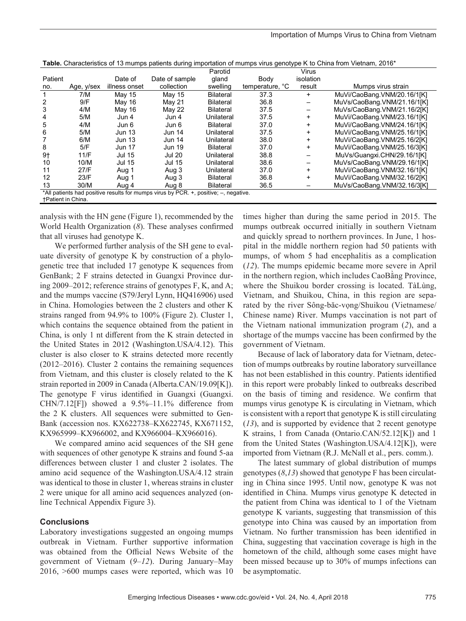|                                                                                      |            |               |                | Parotid          |                 | Virus     |                             |
|--------------------------------------------------------------------------------------|------------|---------------|----------------|------------------|-----------------|-----------|-----------------------------|
| Patient                                                                              |            | Date of       | Date of sample | qland            | Body            | isolation |                             |
| no.                                                                                  | Age, y/sex | illness onset | collection     | swelling         | temperature, °C | result    | Mumps virus strain          |
|                                                                                      | 7/M        | May 15        | May 15         | <b>Bilateral</b> | 37.3            | $+$       | MuVi/CaoBang.VNM/20.16/1[K] |
| 2                                                                                    | 9/F        | May 16        | May 21         | <b>Bilateral</b> | 36.8            |           | MuVs/CaoBang VNM/21.16/1[K] |
| 3                                                                                    | 4/M        | May 16        | May 22         | <b>Bilateral</b> | 37.5            |           | MuVs/CaoBang VNM/21.16/2[K] |
| 4                                                                                    | 5/M        | Jun 4         | Jun 4          | Unilateral       | 37.5            | $+$       | MuVi/CaoBang.VNM/23.16/1[K] |
| 5                                                                                    | 4/M        | Jun 6         | Jun 6          | <b>Bilateral</b> | 37.0            | $\ddot{}$ | MuVi/CaoBang VNM/24.16/1[K] |
| 6                                                                                    | 5/M        | <b>Jun 13</b> | <b>Jun 14</b>  | Unilateral       | 37.5            | $+$       | MuVi/CaoBang.VNM/25.16/1[K] |
|                                                                                      | 6/M        | <b>Jun 13</b> | <b>Jun 14</b>  | Unilateral       | 38.0            | $+$       | MuVi/CaoBang.VNM/25.16/2[K] |
| 8                                                                                    | 5/F        | Jun 17        | <b>Jun 19</b>  | <b>Bilateral</b> | 37.0            | $\ddot{}$ | MuVi/CaoBang.VNM/25.16/3[K] |
| $9+$                                                                                 | 11/F       | <b>Jul 15</b> | <b>Jul 20</b>  | Unilateral       | 38.8            |           | MuVs/Guangxi.CHN/29.16/1[K] |
| 10                                                                                   | 10/M       | <b>Jul 15</b> | <b>Jul 15</b>  | Unilateral       | 38.6            |           | MuVs/CaoBang.VNM/29.16/1[K] |
| 11                                                                                   | 27/F       | Aug 1         | Aug 3          | Unilateral       | 37.0            | $+$       | MuVi/CaoBang.VNM/32.16/1[K] |
| 12                                                                                   | 23/F       | Aug 1         | Aug 3          | <b>Bilateral</b> | 36.8            | $+$       | MuVi/CaoBang.VNM/32.16/2[K] |
| 13                                                                                   | 30/M       | Aug 4         | Aug 8          | <b>Bilateral</b> | 36.5            |           | MuVs/CaoBang VNM/32.16/3[K] |
| *All patients had positive results for mumps virus by PCR. +, positive; -, negative. |            |               |                |                  |                 |           |                             |
| <b>+Patient in China.</b>                                                            |            |               |                |                  |                 |           |                             |

**Table.** Characteristics of 13 mumps patients during importation of mumps virus genotype K to China from Vietnam, 2016\*

analysis with the HN gene (Figure 1), recommended by the World Health Organization (*8*). These analyses confirmed that all viruses had genotype K.

We performed further analysis of the SH gene to evaluate diversity of genotype K by construction of a phylogenetic tree that included 17 genotype K sequences from GenBank; 2 F strains detected in Guangxi Province during 2009–2012; reference strains of genotypes F, K, and A; and the mumps vaccine (S79/Jeryl Lynn, HQ416906) used in China. Homologies between the 2 clusters and other K strains ranged from 94.9% to 100% (Figure 2). Cluster 1, which contains the sequence obtained from the patient in China, is only 1 nt different from the K strain detected in the United States in 2012 (Washington.USA/4.12). This cluster is also closer to K strains detected more recently (2012–2016). Cluster 2 contains the remaining sequences from Vietnam, and this cluster is closely related to the K strain reported in 2009 in Canada (Alberta.CAN/19.09[K]). The genotype F virus identified in Guangxi (Guangxi. CHN/7.12[F]) showed a 9.5%–11.1% difference from the 2 K clusters. All sequences were submitted to Gen-Bank (accession nos. KX622738–KX622745, KX671152, KX965999–KX966002, and KX966004–KX966016).

We compared amino acid sequences of the SH gene with sequences of other genotype K strains and found 5-aa differences between cluster 1 and cluster 2 isolates. The amino acid sequence of the Washington.USA/4.12 strain was identical to those in cluster 1, whereas strains in cluster 2 were unique for all amino acid sequences analyzed (online Technical Appendix Figure 3).

#### **Conclusions**

Laboratory investigations suggested an ongoing mumps outbreak in Vietnam. Further supportive information was obtained from the Official News Website of the government of Vietnam (*9*–*12*). During January–May 2016, >600 mumps cases were reported, which was 10

times higher than during the same period in 2015. The mumps outbreak occurred initially in southern Vietnam and quickly spread to northern provinces. In June, 1 hospital in the middle northern region had 50 patients with mumps, of whom 5 had encephalitis as a complication (*12*). The mumps epidemic became more severe in April in the northern region, which includes CaoBằng Province, where the Shuikou border crossing is located. TàLùng, Vietnam, and Shuikou, China, in this region are separated by the river Sông-băc-vọng/Shuikou (Vietnamese/ Chinese name) River. Mumps vaccination is not part of the Vietnam national immunization program (*2*), and a shortage of the mumps vaccine has been confirmed by the government of Vietnam.

Because of lack of laboratory data for Vietnam, detection of mumps outbreaks by routine laboratory surveillance has not been established in this country. Patients identified in this report were probably linked to outbreaks described on the basis of timing and residence. We confirm that mumps virus genotype K is circulating in Vietnam, which is consistent with a report that genotype K is still circulating (*13*), and is supported by evidence that 2 recent genotype K strains, 1 from Canada (Ontario.CAN/52.12[K]) and 1 from the United States (Washington.USA/4.12[K]), were imported from Vietnam (R.J. McNall et al., pers. comm.).

The latest summary of global distribution of mumps genotypes (*8*,*13*) showed that genotype F has been circulating in China since 1995. Until now, genotype K was not identified in China. Mumps virus genotype K detected in the patient from China was identical to 1 of the Vietnam genotype K variants, suggesting that transmission of this genotype into China was caused by an importation from Vietnam. No further transmission has been identified in China, suggesting that vaccination coverage is high in the hometown of the child, although some cases might have been missed because up to 30% of mumps infections can be asymptomatic.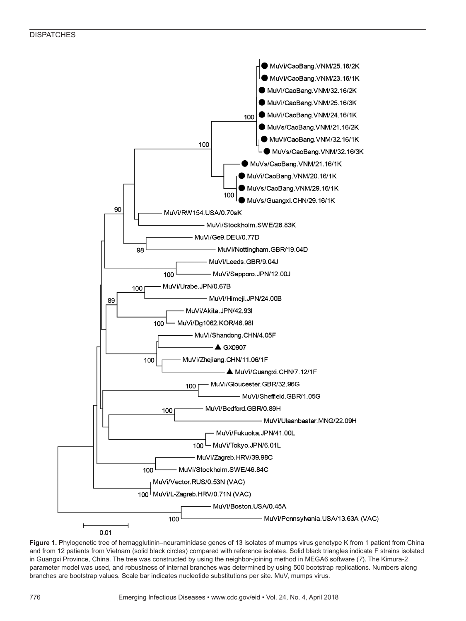

**Figure 1.** Phylogenetic tree of hemagglutinin–neuraminidase genes of 13 isolates of mumps virus genotype K from 1 patient from China and from 12 patients from Vietnam (solid black circles) compared with reference isolates. Solid black triangles indicate F strains isolated in Guangxi Province, China. The tree was constructed by using the neighbor-joining method in MEGA6 software (*7*). The Kimura-2 parameter model was used, and robustness of internal branches was determined by using 500 bootstrap replications. Numbers along branches are bootstrap values. Scale bar indicates nucleotide substitutions per site. MuV, mumps virus.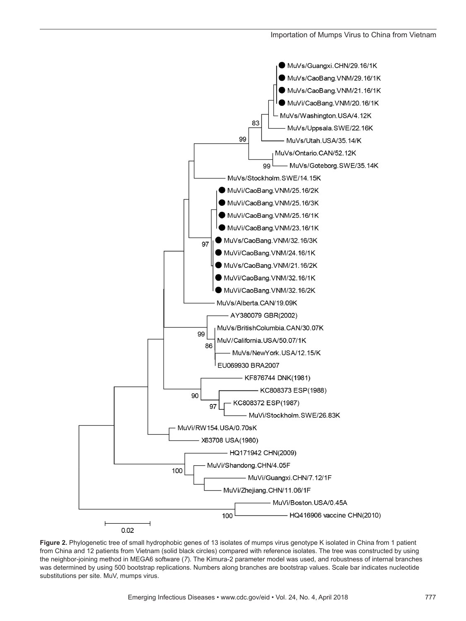

**Figure 2.** Phylogenetic tree of small hydrophobic genes of 13 isolates of mumps virus genotype K isolated in China from 1 patient from China and 12 patients from Vietnam (solid black circles) compared with reference isolates. The tree was constructed by using the neighbor-joining method in MEGA6 software (*7*). The Kimura-2 parameter model was used, and robustness of internal branches was determined by using 500 bootstrap replications. Numbers along branches are bootstrap values. Scale bar indicates nucleotide substitutions per site. MuV, mumps virus.